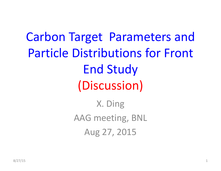Carbon Target Parameters and Particle Distributions for Front End Study (Discussion) X. Ding AAG meeting, BNL Aug 27, 2015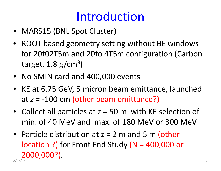### Introduction

- MARS15 (BNL Spot Cluster)
- ROOT based geometry setting without BE windows for 20t02T5m and 20to 4T5m configuration (Carbon target,  $1.8$  g/cm<sup>3</sup>)
- No SMIN card and 400,000 events
- KE at 6.75 GeV, 5 micron beam emittance, launched at *z* <sup>=</sup> ‐100 cm (other beam emittance?)
- Collect all particles at *<sup>z</sup>* <sup>=</sup> 50 <sup>m</sup> with KE selection of min. of 40 MeV and max. of 180 MeV or 300 MeV
- Particle distribution at z = 2 m and 5 m (other location ?) for Front End Study (N <sup>=</sup> 400,000 or 2000,000?). 8/27/15 2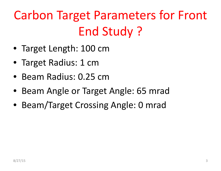# Carbon Target Parameters for Front End Study ?

- Target Length: 100 cm
- Target Radius: 1 cm
- Beam Radius: 0.25 cm
- Beam Angle or Target Angle: 65 mrad
- Beam/Target Crossing Angle: 0 mrad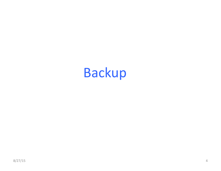# Backup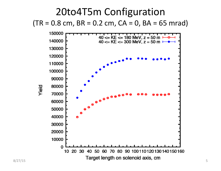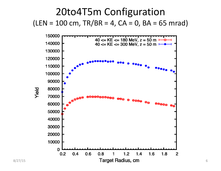

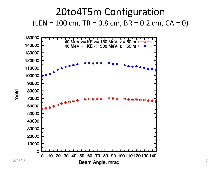



Yield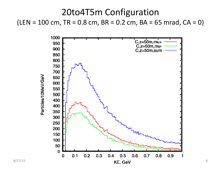### 20to4T5m Configuration  $(LEN = 100 cm, TR = 0.8 cm, BR = 0.2 cm, BA = 65 mrad, CA = 0)$

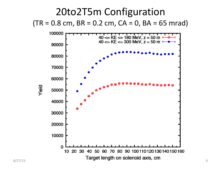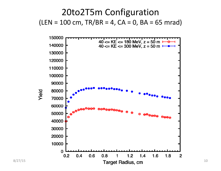### 20to2T5m Configuration  $(LEN = 100 cm, TR/BR = 4, CA = 0, BA = 65 mrad)$

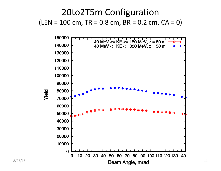20to2T5m Configuration  $(LEN = 100 cm, TR = 0.8 cm, BR = 0.2 cm, CA = 0)$